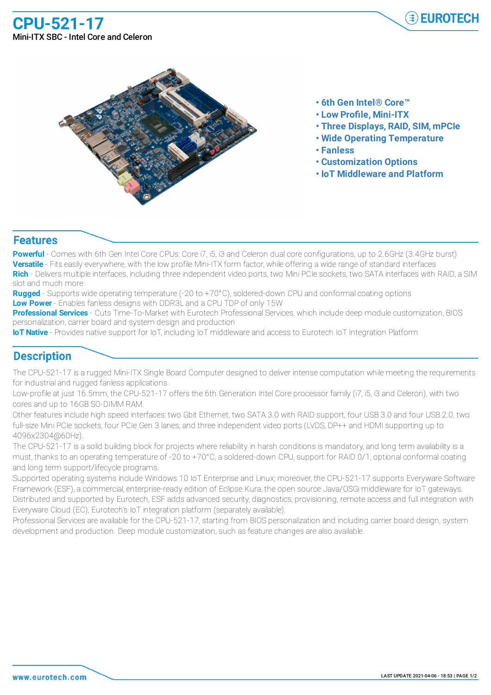**CPU-521-17** Mini-ITX SBC - Intel Core and Celeron





- **• 6th Gen Intel® Core™**
- **• Low Profile, Mini-ITX**
- **• Three Displays, RAID, SIM, mPCIe**
- **• Wide Operating Temperature**
- **• Fanless**
- **• Customization Options**
- **• IoT Middleware and Platform**

## **Features**

**Powerful** - Comes with 6th Gen Intel Core CPUs: Core i7, i5, i3 and Celeron dual core configurations, up to 2.6GHz (3.4GHz burst) **Versatile** - Fits easily everywhere, with the low profile Mini-ITX form factor, while offering a wide range of standard interfaces **Rich** - Delivers multiple interfaces, including three independent video ports, two Mini PCIe sockets, two SATA interfaces with RAID, a SIM slot and much more

**Rugged** - Supports wide operating temperature (-20 to +70°C), soldered-down CPU and conformal coating options **Low Power** - Enables fanless designs with DDR3L and a CPU TDP of only 15W

**Professional Services** - Cuts Time-To-Market with Eurotech Professional Services, which include deep module customization, BIOS personalization, carrier board and system design and production

**IoT Native** - Provides native support for IoT, including IoT middleware and access to Eurotech IoT Integration Platform

## **Description**

The CPU-521-17 is a rugged Mini-ITX Single Board Computer designed to deliver intense computation while meeting the requirements for industrial and rugged fanless applications.

Low-profile at just 16.5mm, the CPU-521-17 offers the 6th Generation Intel Core processor family (i7, i5, i3 and Celeron), with two cores and up to 16GB SO-DIMM RAM.

Other features include high speed interfaces: two Gbit Ethernet, two SATA 3.0 with RAID support, four USB 3.0 and four USB 2.0, two full-size Mini PCIe sockets, four PCIe Gen 3 lanes, and three independent video ports (LVDS, DP++ and HDMI supporting up to 4096x2304@60Hz).

The CPU-521-17 is a solid building block for projects where reliability in harsh conditions is mandatory, and long term availability is a must, thanks to an operating temperature of -20 to +70°C, a soldered-down CPU, support for RAID 0/1, optional conformal coating and long term support/lifecycle programs.

Supported operating systems include Windows 10 IoT Enterprise and Linux; moreover, the CPU-521-17 supports Everyware Software Framework (ESF), a commercial, enterprise-ready edition of Eclipse Kura, the open source Java/OSGi middleware for IoT gateways. Distributed and supported by Eurotech, ESF adds advanced security, diagnostics, provisioning, remote access and full integration with Everyware Cloud (EC), Eurotech's IoT integration platform (separately available).

Professional Services are available for the CPU-521-17, starting from BIOS personalization and including carrier board design, system development and production. Deep module customization, such as feature changes are also available.